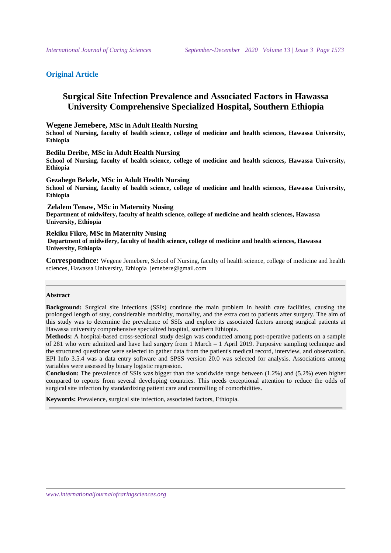# **Original Article**

# **Surgical Site Infection Prevalence and Associated Factors in Hawassa University Comprehensive Specialized Hospital, Southern Ethiopia**

**Wegene Jemebere, MSc in Adult Health Nursing** 

**School of Nursing, faculty of health science, college of medicine and health sciences, Hawassa University, Ethiopia** 

**Bedilu Deribe, MSc in Adult Health Nursing** 

**School of Nursing, faculty of health science, college of medicine and health sciences, Hawassa University, Ethiopia** 

**Gezahegn Bekele, MSc in Adult Health Nursing** 

**School of Nursing, faculty of health science, college of medicine and health sciences, Hawassa University, Ethiopia** 

**Zelalem Tenaw, MSc in Maternity Nusing**

**Department of midwifery, faculty of health science, college of medicine and health sciences, Hawassa University, Ethiopia** 

### **Rekiku Fikre, MSc in Maternity Nusing**

 **Department of midwifery, faculty of health science, college of medicine and health sciences, Hawassa University, Ethiopia** 

**Correspondnce:** Wegene Jemebere, School of Nursing, faculty of health science, college of medicine and health sciences, Hawassa University, Ethiopia jemebere@gmail.com

#### **Abstract**

**Background:** Surgical site infections (SSIs) continue the main problem in health care facilities, causing the prolonged length of stay, considerable morbidity, mortality, and the extra cost to patients after surgery. The aim of this study was to determine the prevalence of SSIs and explore its associated factors among surgical patients at Hawassa university comprehensive specialized hospital, southern Ethiopia.

**Methods:** A hospital-based cross-sectional study design was conducted among post-operative patients on a sample of 281 who were admitted and have had surgery from 1 March – 1 April 2019. Purposive sampling technique and the structured questioner were selected to gather data from the patient's medical record, interview, and observation. EPI Info 3.5.4 was a data entry software and SPSS version 20.0 was selected for analysis. Associations among variables were assessed by binary logistic regression.

**Conclusion:** The prevalence of SSIs was bigger than the worldwide range between (1.2%) and (5.2%) even higher compared to reports from several developing countries. This needs exceptional attention to reduce the odds of surgical site infection by standardizing patient care and controlling of comorbidities.

**Keywords:** Prevalence, surgical site infection, associated factors, Ethiopia.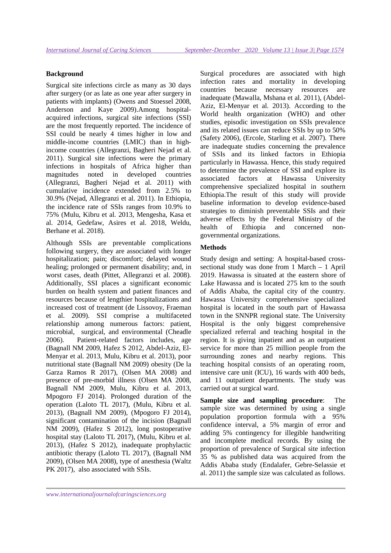### **Background**

Surgical site infections circle as many as 30 days after surgery (or as late as one year after surgery in patients with implants) (Owens and Stoessel 2008, Anderson and Kaye 2009).Among hospitalacquired infections, surgical site infections (SSI) are the most frequently reported. The incidence of SSI could be nearly 4 times higher in low and middle-income countries (LMIC) than in highincome countries (Allegranzi, Bagheri Nejad et al. 2011). Surgical site infections were the primary infections in hospitals of Africa higher than magnitudes noted in developed countries (Allegranzi, Bagheri Nejad et al. 2011) with cumulative incidence extended from 2.5% to 30.9% (Nejad, Allegranzi et al. 2011). In Ethiopia, the incidence rate of SSIs ranges from 10.9% to 75% (Mulu, Kibru et al. 2013, Mengesha, Kasa et al. 2014, Gedefaw, Asires et al. 2018, Weldu, Berhane et al. 2018).

Although SSIs are preventable complications following surgery, they are associated with longer hospitalization; pain; discomfort; delayed wound healing; prolonged or permanent disability; and, in worst cases, death (Pittet, Allegranzi et al. 2008). Additionally, SSI places a significant economic burden on health system and patient finances and resources because of lengthier hospitalizations and increased cost of treatment (de Lissovoy, Fraeman et al. 2009). SSI comprise a multifaceted relationship among numerous factors: patient, microbial, surgical, and environmental (Cheadle 2006). Patient-related factors includes, age (Bagnall NM 2009, Hafez S 2012, Abdel-Aziz, El-Menyar et al. 2013, Mulu, Kibru et al. 2013), poor nutritional state (Bagnall NM 2009) obesity (De la Garza Ramos R 2017), (Olsen MA 2008) and presence of pre-morbid illness (Olsen MA 2008, Bagnall NM 2009, Mulu, Kibru et al. 2013, Mpogoro FJ 2014). Prolonged duration of the operation (Laloto TL 2017), (Mulu, Kibru et al. 2013), (Bagnall NM 2009), (Mpogoro FJ 2014), significant contamination of the incision (Bagnall NM 2009), (Hafez S 2012), long postoperative hospital stay (Laloto TL 2017), (Mulu, Kibru et al. 2013), (Hafez S 2012), inadequate prophylactic antibiotic therapy (Laloto TL 2017), (Bagnall NM 2009), (Olsen MA 2008), type of anesthesia (Waltz PK 2017), also associated with SSIs.

Surgical procedures are associated with high infection rates and mortality in developing countries because necessary resources are inadequate (Mawalla, Mshana et al. 2011), (Abdel-Aziz, El-Menyar et al. 2013). According to the World health organization (WHO) and other studies, episodic investigation on SSIs prevalence and its related issues can reduce SSIs by up to 50% (Safety 2006), (Ercole, Starling et al. 2007). There are inadequate studies concerning the prevalence of SSIs and its linked factors in Ethiopia particularly in Hawassa. Hence, this study required to determine the prevalence of SSI and explore its associated factors at Hawassa University comprehensive specialized hospital in southern Ethiopia.The result of this study will provide baseline information to develop evidence-based strategies to diminish preventable SSIs and their adverse effects by the Federal Ministry of the health of Ethiopia and concerned nongovernmental organizations.

## **Methods**

Study design and setting: A hospital-based crosssectional study was done from 1 March – 1 April 2019. Hawassa is situated at the eastern shore of Lake Hawassa and is located 275 km to the south of Addis Ababa, the capital city of the country. Hawassa University comprehensive specialized hospital is located in the south part of Hawassa town in the SNNPR regional state. The University Hospital is the only biggest comprehensive specialized referral and teaching hospital in the region. It is giving inpatient and as an outpatient service for more than 25 million people from the surrounding zones and nearby regions. This teaching hospital consists of an operating room, intensive care unit (ICU), 16 wards with 400 beds, and 11 outpatient departments. The study was carried out at surgical ward.

**Sample size and sampling procedure**: The sample size was determined by using a single population proportion formula with a 95% confidence interval, a 5% margin of error and adding 5% contingency for illegible handwriting and incomplete medical records. By using the proportion of prevalence of Surgical site infection 35 % as published data was acquired from the Addis Ababa study (Endalafer, Gebre-Selassie et al. 2011) the sample size was calculated as follows.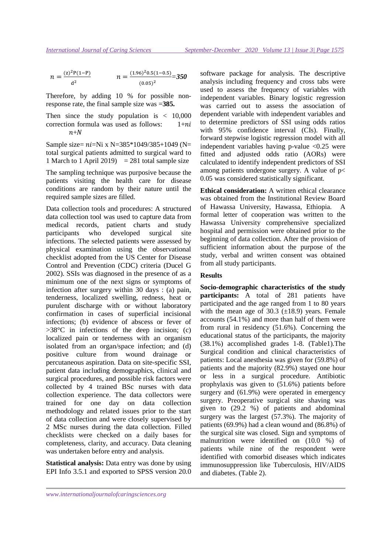$$
n = \frac{(z)^2 P(1-P)}{d^2} \qquad \qquad n = \frac{(1.96)^2 0.5(1-0.5)}{(0.05)^2} = 350
$$

Therefore, by adding 10 % for possible nonresponse rate, the final sample size was =**385.** 

Then since the study population is  $\langle 10,000 \rangle$ correction formula was used as follows:  $1+n*i*$  $n+N$ 

Sample size=  $ni=Ni$  x N=385\*1049/385+1049 (N= total surgical patients admitted to surgical ward to 1 March to 1 April 2019)  $= 281$  total sample size

The sampling technique was purposive because the patients visiting the health care for disease conditions are random by their nature until the required sample sizes are filled.

Data collection tools and procedures: A structured data collection tool was used to capture data from medical records, patient charts and study participants who developed surgical site infections. The selected patients were assessed by physical examination using the observational checklist adopted from the US Center for Disease Control and Prevention (CDC) criteria (Ducel G 2002). SSIs was diagnosed in the presence of as a minimum one of the next signs or symptoms of infection after surgery within 30 days : (a) pain, tenderness, localized swelling, redness, heat or purulent discharge with or without laboratory confirmation in cases of superficial incisional infections; (b) evidence of abscess or fever of  $>38^{\circ}$ C in infections of the deep incision; (c) localized pain or tenderness with an organism isolated from an organ/space infection; and (d) positive culture from wound drainage or percutaneous aspiration. Data on site-specific SSI, patient data including demographics, clinical and surgical procedures, and possible risk factors were collected by 4 trained BSc nurses with data collection experience. The data collectors were trained for one day on data collection methodology and related issues prior to the start of data collection and were closely supervised by 2 MSc nurses during the data collection. Filled checklists were checked on a daily bases for completeness, clarity, and accuracy. Data cleaning was undertaken before entry and analysis.

**Statistical analysis:** Data entry was done by using EPI Info 3.5.1 and exported to SPSS version 20.0 software package for analysis. The descriptive analysis including frequency and cross tabs were used to assess the frequency of variables with independent variables. Binary logistic regression was carried out to assess the association of dependent variable with independent variables and to determine predictors of SSI using odds ratios with 95% confidence interval (CIs). Finally, forward stepwise logistic regression model with all independent variables having p-value  $\langle 0.25 \rangle$  were fitted and adjusted odds ratio (AORs) were calculated to identify independent predictors of SSI among patients undergone surgery. A value of  $p$  < 0.05 was considered statistically significant.

**Ethical consideration:** A written ethical clearance was obtained from the Institutional Review Board of Hawassa University, Hawassa, Ethiopia. A formal letter of cooperation was written to the Hawassa University comprehensive specialized hospital and permission were obtained prior to the beginning of data collection. After the provision of sufficient information about the purpose of the study, verbal and written consent was obtained from all study participants.

### **Results**

**Socio-demographic characteristics of the study participants:** A total of 281 patients have participated and the age ranged from 1 to 80 years with the mean age of  $30.3$  ( $\pm$ 18.9) years. Female accounts (54.1%) and more than half of them were from rural in residency (51.6%). Concerning the educational status of the participants, the majority (38.1%) accomplished grades 1-8. (Table1).The Surgical condition and clinical characteristics of patients: Local anesthesia was given for (59.8%) of patients and the majority (82.9%) stayed one hour or less in a surgical procedure. Antibiotic prophylaxis was given to (51.6%) patients before surgery and (61.9%) were operated in emergency surgery. Preoperative surgical site shaving was given to (29.2 %) of patients and abdominal surgery was the largest (57.3%). The majority of patients (69.9%) had a clean wound and (86.8%) of the surgical site was closed. Sign and symptoms of malnutrition were identified on (10.0 %) of patients while nine of the respondent were identified with comorbid diseases which indicates immunosuppression like Tuberculosis, HIV/AIDS and diabetes. (Table 2).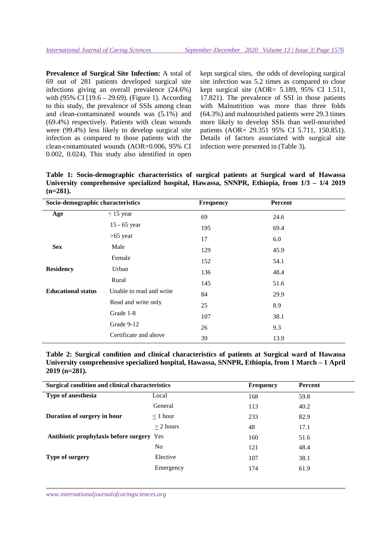**Prevalence of Surgical Site Infection:** A total of 69 out of 281 patients developed surgical site infections giving an overall prevalence (24.6%) with (95% CI  $[19.6 - 29.69]$ ). (Figure 1). According to this study, the prevalence of SSIs among clean and clean-contaminated wounds was (5.1%) and (69.4%) respectively. Patients with clean wounds were (99.4%) less likely to develop surgical site infection as compared to those patients with the clean-contaminated wounds (AOR=0.006, 95% CI 0.002, 0.024). This study also identified in open kept surgical sites, the odds of developing surgical site infection was 5.2 times as compared to close kept surgical site (AOR= 5.189, 95% CI 1.511, 17.821). The prevalence of SSI in those patients with Malnutrition was more than three folds (64.3%) and malnourished patients were 29.3 times more likely to develop SSIs than well-nourished patients (AOR= 29.351 95% CI 5.711, 150.851). Details of factors associated with surgical site infection were presented in (Table 3).

**Table 1: Socio-demographic characteristics of surgical patients at Surgical ward of Hawassa University comprehensive specialized hospital, Hawassa, SNNPR, Ethiopia, from 1/3 – 1/4 2019 (n=281).**

| Socio-demographic characteristics |                          | <b>Frequency</b> | <b>Percent</b> |  |
|-----------------------------------|--------------------------|------------------|----------------|--|
| Age                               | $<$ 15 year              | 69               | 24.6           |  |
|                                   | 15 - 65 year             | 195              | 69.4           |  |
|                                   | $>65$ year               | 17               | 6.0            |  |
| <b>Sex</b>                        | Male                     | 129              | 45.9           |  |
|                                   | Female                   | 152              | 54.1           |  |
| <b>Residency</b>                  | Urban                    | 136              | 48.4           |  |
|                                   | Rural                    | 145              | 51.6           |  |
| <b>Educational status</b>         | Unable to read and write | 84               | 29.9           |  |
|                                   | Read and write only      | 25               | 8.9            |  |
|                                   | Grade 1-8                | 107              | 38.1           |  |
|                                   | Grade 9-12               | 26               | 9.3            |  |
|                                   | Certificate and above    | 39               | 13.9           |  |

**Table 2: Surgical condition and clinical characteristics of patients at Surgical ward of Hawassa University comprehensive specialized hospital, Hawassa, SNNPR, Ethiopia, from 1 March – 1 April 2019 (n=281).** 

| Surgical condition and clinical characteristics  |             | <b>Frequency</b> | Percent |
|--------------------------------------------------|-------------|------------------|---------|
| Type of anesthesia                               | Local       | 168              | 59.8    |
|                                                  | General     | 113              | 40.2    |
| Duration of surgery in hour                      | $<$ 1 hour  | 233              | 82.9    |
|                                                  | $>$ 2 hours | 48               | 17.1    |
| <b>Antibiotic prophylaxis before surgery</b> Yes |             | 160              | 51.6    |
|                                                  | No          | 121              | 48.4    |
| Type of surgery                                  | Elective    | 107              | 38.1    |
|                                                  | Emergency   | 174              | 61.9    |
|                                                  |             |                  |         |

*www.internationaljournalofcaringsciences.org*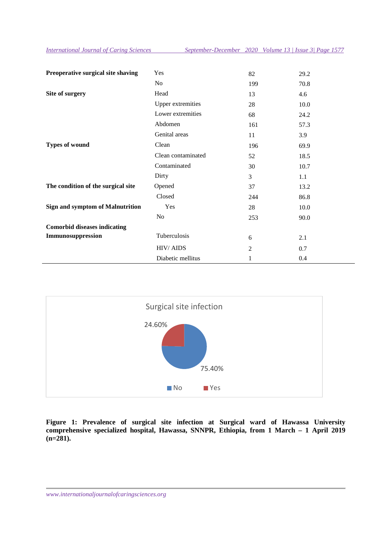*International Journal of Caring Sciences September-December 2020 Volume 13 | Issue 3| Page 1577*

| Preoperative surgical site shaving      | Yes                      | 82             | 29.2 |
|-----------------------------------------|--------------------------|----------------|------|
|                                         | No                       | 199            | 70.8 |
| Site of surgery                         | Head                     | 13             | 4.6  |
|                                         | <b>Upper extremities</b> | 28             | 10.0 |
|                                         | Lower extremities        | 68             | 24.2 |
|                                         | Abdomen                  | 161            | 57.3 |
|                                         | Genital areas            | 11             | 3.9  |
| <b>Types of wound</b>                   | Clean                    | 196            | 69.9 |
|                                         | Clean contaminated       | 52             | 18.5 |
|                                         | Contaminated             | 30             | 10.7 |
|                                         | Dirty                    | 3              | 1.1  |
| The condition of the surgical site      | Opened                   | 37             | 13.2 |
|                                         | Closed                   | 244            | 86.8 |
| <b>Sign and symptom of Malnutrition</b> | Yes                      | 28             | 10.0 |
|                                         | No                       | 253            | 90.0 |
| <b>Comorbid diseases indicating</b>     |                          |                |      |
| Immunosuppression                       | Tuberculosis             | 6              | 2.1  |
|                                         | <b>HIV/AIDS</b>          | $\overline{2}$ | 0.7  |
|                                         | Diabetic mellitus        | 1              | 0.4  |



**Figure 1: Prevalence of surgical site infection at Surgical ward of Hawassa University comprehensive specialized hospital, Hawassa, SNNPR, Ethiopia, from 1 March – 1 April 2019**   $(n=281)$ .

*www.internationaljournalofcaringsciences.org*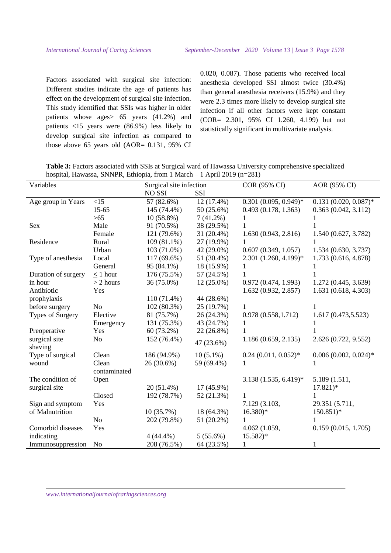Factors associated with surgical site infection: Different studies indicate the age of patients has effect on the development of surgical site infection. This study identified that SSIs was higher in older patients whose ages> 65 years (41.2%) and patients <15 years were (86.9%) less likely to develop surgical site infection as compared to those above 65 years old (AOR= 0.131, 95% CI 0.020, 0.087). Those patients who received local anesthesia developed SSI almost twice (30.4%) than general anesthesia receivers (15.9%) and they were 2.3 times more likely to develop surgical site infection if all other factors were kept constant (COR= 2.301, 95% CI 1.260, 4.199) but not statistically significant in multivariate analysis.

**Table 3:** Factors associated with SSIs at Surgical ward of Hawassa University comprehensive specialized hospital, Hawassa, SNNPR, Ethiopia, from 1 March – 1 April 2019 (n=281)

| Variables           |                | Surgical site infection |              | COR (95% CI)            | AOR (95% CI)               |
|---------------------|----------------|-------------------------|--------------|-------------------------|----------------------------|
|                     |                | <b>NO SSI</b>           | SSI          |                         |                            |
| Age group in Years  | <15            | 57 (82.6%)              | 12 (17.4%)   | $0.301(0.095, 0.949)^*$ | $0.131$ $(0.020, 0.087)$ * |
|                     | $15 - 65$      | 145 (74.4%)             | 50 (25.6%)   | 0.493(0.178, 1.363)     | 0.363(0.042, 3.112)        |
|                     | $>65$          | $10(58.8\%)$            | $7(41.2\%)$  | 1                       |                            |
| Sex                 | Male           | 91 (70.5%)              | 38 (29.5%)   | 1                       |                            |
|                     | Female         | 121 (79.6%)             | 31 (20.4%)   | 1.630(0.943, 2.816)     | 1.540 (0.627, 3.782)       |
| Residence           | Rural          | 109 (81.1%)             | 27 (19.9%)   | 1                       |                            |
|                     | Urban          | 103 (71.0%)             | 42 (29.0%)   | 0.607(0.349, 1.057)     | 1.534(0.630, 3.737)        |
| Type of anesthesia  | Local          | 117 (69.6%)             | 51 (30.4%)   | $2.301(1.260, 4.199)*$  | 1.733 (0.616, 4.878)       |
|                     | General        | 95 (84.1%)              | 18 (15.9%)   | 1                       |                            |
| Duration of surgery | $< 1$ hour     | 176 (75.5%)             | 57 (24.5%)   | 1                       |                            |
| in hour             | $> 2$ hours    | 36 (75.0%)              | $12(25.0\%)$ | 0.972(0.474, 1.993)     | 1.272 (0.445, 3.639)       |
| Antibiotic          | Yes            |                         |              | 1.632(0.932, 2.857)     | 1.631 (0.618, 4.303)       |
| prophylaxis         |                | $110(71.4\%)$           | 44 (28.6%)   |                         |                            |
| before surgery      | N <sub>o</sub> | 102 (80.3%)             | 25 (19.7%)   | 1                       |                            |
| Types of Surgery    | Elective       | 81 (75.7%)              | 26 (24.3%)   | 0.978(0.558, 1.712)     | 1.617 (0.473,5.523)        |
|                     | Emergency      | 131 (75.3%)             | 43 (24.7%)   | $\mathbf{1}$            |                            |
| Preoperative        | Yes            | 60 (73.2%)              | 22 (26.8%)   | 1                       |                            |
| surgical site       | N <sub>o</sub> | 152 (76.4%)             |              | 1.186(0.659, 2.135)     | 2.626 (0.722, 9.552)       |
| shaving             |                |                         | 47 (23.6%)   |                         |                            |
| Type of surgical    | Clean          | 186 (94.9%)             | $10(5.1\%)$  | $0.24(0.011, 0.052)^*$  | $0.006$ $(0.002, 0.024)$ * |
| wound               | Clean          | 26 (30.6%)              | 59 (69.4%)   | 1                       |                            |
|                     | contaminated   |                         |              |                         |                            |
| The condition of    | Open           |                         |              | $3.138(1.535, 6.419)^*$ | 5.189 (1.511,              |
| surgical site       |                | $20(51.4\%)$            | 17 (45.9%)   |                         | $17.821*$                  |
|                     | Closed         | 192 (78.7%)             | 52 (21.3%)   | $\mathbf{1}$            | 1                          |
| Sign and symptom    | Yes            |                         |              | 7.129 (3.103,           | 29.351 (5.711,             |
| of Malnutrition     |                | 10(35.7%)               | 18 (64.3%)   | $16.380*$               | $150.851$ <sup>*</sup>     |
|                     | N <sub>o</sub> | 202 (79.8%)             | 51 (20.2%)   | 1                       |                            |
| Comorbid diseases   | Yes            |                         |              | 4.062 (1.059,           | 0.159(0.015, 1.705)        |
| indicating          |                | $4(44.4\%)$             | $5(55.6\%)$  | $15.582*$               |                            |
| Immunosuppression   | N <sub>o</sub> | 208 (76.5%)             | 64 (23.5%)   | 1                       | 1                          |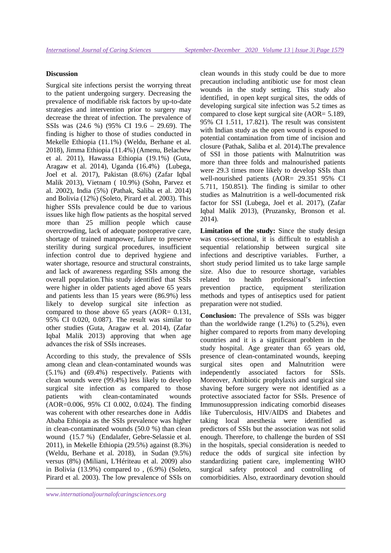### **Discussion**

Surgical site infections persist the worrying threat to the patient undergoing surgery. Decreasing the prevalence of modifiable risk factors by up-to-date strategies and intervention prior to surgery may decrease the threat of infection. The prevalence of SSIs was (24.6 %) (95% CI 19.6 – 29.69). The finding is higher to those of studies conducted in Mekelle Ethiopia (11.1%) (Weldu, Berhane et al. 2018), Jimma Ethiopia (11.4%) (Amenu, Belachew et al. 2011), Hawassa Ethiopia (19.1%) (Guta, Aragaw et al. 2014), Uganda (16.4%) (Lubega, Joel et al. 2017), Pakistan (8.6%) (Zafar Iqbal Malik 2013), Vietnam ( 10.9%) (Sohn, Parvez et al. 2002), India (5%) (Pathak, Saliba et al. 2014) and Bolivia (12%) (Soleto, Pirard et al. 2003). This higher SSIs prevalence could be due to various issues like high flow patients as the hospital served more than 25 million people which cause overcrowding, lack of adequate postoperative care, shortage of trained manpower, failure to preserve sterility during surgical procedures, insufficient infection control due to deprived hygiene and water shortage, resource and structural constraints, and lack of awareness regarding SSIs among the overall population.This study identified that SSIs were higher in older patients aged above 65 years and patients less than 15 years were (86.9%) less likely to develop surgical site infection as compared to those above 65 years (AOR= 0.131, 95% CI 0.020, 0.087). The result was similar to other studies (Guta, Aragaw et al. 2014), (Zafar Iqbal Malik 2013) approving that when age advances the risk of SSIs increases.

According to this study, the prevalence of SSIs among clean and clean-contaminated wounds was (5.1%) and (69.4%) respectively. Patients with clean wounds were (99.4%) less likely to develop surgical site infection as compared to those patients with clean-contaminated wounds (AOR=0.006, 95% CI 0.002, 0.024). The finding was coherent with other researches done in Addis Ababa Ethiopia as the SSIs prevalence was higher in clean-contaminated wounds (50.0 %) than clean wound (15.7 %) (Endalafer, Gebre-Selassie et al. 2011), in Mekelle Ethiopia (29.5%) against (8.3%) (Weldu, Berhane et al. 2018), in Sudan (9.5%) versus (8%) (Miliani, L'Hériteau et al. 2009) also in Bolivia (13.9%) compared to , (6.9%) (Soleto, Pirard et al. 2003). The low prevalence of SSIs on

clean wounds in this study could be due to more precaution including antibiotic use for most clean wounds in the study setting. This study also identified, in open kept surgical sites, the odds of developing surgical site infection was 5.2 times as compared to close kept surgical site (AOR= 5.189, 95% CI 1.511, 17.821). The result was consistent with Indian study as the open wound is exposed to potential contamination from time of incision and closure (Pathak, Saliba et al. 2014).The prevalence of SSI in those patients with Malnutrition was more than three folds and malnourished patients were 29.3 times more likely to develop SSIs than well-nourished patients (AOR= 29.351 95% CI 5.711, 150.851). The finding is similar to other studies as Malnutrition is a well-documented risk factor for SSI (Lubega, Joel et al. 2017), (Zafar Iqbal Malik 2013), (Pruzansky, Bronson et al. 2014).

Limitation of the study: Since the study design was cross-sectional, it is difficult to establish a sequential relationship between surgical site infections and descriptive variables. Further, a short study period limited us to take large sample size. Also due to resource shortage, variables related to health professional's infection prevention practice, equipment sterilization methods and types of antiseptics used for patient preparation were not studied.

**Conclusion:** The prevalence of SSIs was bigger than the worldwide range  $(1.2\%)$  to  $(5.2\%)$ , even higher compared to reports from many developing countries and it is a significant problem in the study hospital. Age greater than 65 years old, presence of clean-contaminated wounds, keeping surgical sites open and Malnutrition were independently associated factors for SSIs. Moreover, Antibiotic prophylaxis and surgical site shaving before surgery were not identified as a protective associated factor for SSIs. Presence of Immunosuppression indicating comorbid diseases like Tuberculosis, HIV/AIDS and Diabetes and taking local anesthesia were identified as predictors of SSIs but the association was not solid enough. Therefore, to challenge the burden of SSI in the hospitals, special consideration is needed to reduce the odds of surgical site infection by standardizing patient care, implementing WHO surgical safety protocol and controlling of comorbidities. Also, extraordinary devotion should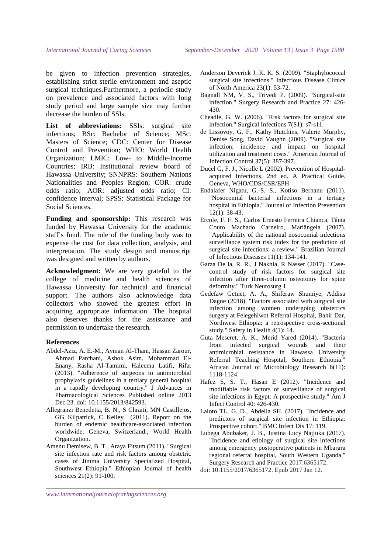be given to infection prevention strategies, establishing strict sterile environment and aseptic surgical techniques.Furthermore, a periodic study on prevalence and associated factors with long study period and large sample size may further decrease the burden of SSIs.

**List of abbreviations:** SSIs: surgical site infections; BSc: Bachelor of Science; MSc: Masters of Science; CDC: Center for Disease Control and Prevention; WHO: World Health Organization; LMIC: Low- to Middle-Income Countries; IRB: Institutional review board of Hawassa University; SNNPRS: Southern Nations Nationalities and Peoples Region; COR: crude odds ratio; AOR: adjusted odds ratio; CI: confidence interval; SPSS: Statistical Package for Social Sciences.

Funding and sponsorship: This research was funded by Hawassa University for the academic staff's fund. The role of the funding body was to expense the cost for data collection, analysis, and interpretation. The study design and manuscript was designed and written by authors.

**Acknowledgment:** We are very grateful to the college of medicine and health sciences of Hawassa University for technical and financial support. The authors also acknowledge data collectors who showed the greatest effort in acquiring appropriate information. The hospital also deserves thanks for the assistance and permission to undertake the research.

#### **References**

- Abdel-Aziz, A. E.-M., Ayman Al-Thani, Hassan Zarour, Ahmad Parchani, Ashok Asim, Mohammad El-Enany, Rasha Al-Tamimi, Haleema Latifi, Rifat (2013). "Adherence of surgeons to antimicrobial prophylaxis guidelines in a tertiary general hospital in a rapidly developing country." J Advances in Pharmacological Sciences Published online 2013 Dec 23. doi: 10.1155/2013/842593.
- Allegranzi Benedetta, B. N., S Chraiti, MN Castillejos, GG Kilpatrick, C Kelley (2011). Report on the burden of endemic healthcare-associated infection worldwide. Geneva, Switzerland:, World Health Organization.
- Amenu Demisew, B. T., Araya Fitsum (2011). "Surgical site infection rate and risk factors among obstetric cases of Jimma University Specialized Hospital, Southwest Ethiopia." Ethiopian Journal of health sciences 21(2): 91-100.
- Anderson Deverick J, K. K. S. (2009). "Staphylococcal surgical site infections." Infectious Disease Clinics of North America 23(1): 53-72.
- Bagnall NM, V. S., Trivedi P. (2009). "Surgical-site infection." Surgery Research and Practice 27: 426- 430.
- Cheadle, G. W. (2006). "Risk factors for surgical site infection." Surgical Infections 7(S1): s7-s11.
- de Lissovoy, G. F., Kathy Hutchins, Valerie Murphy, Denise Song, David Vaughn (2009). "Surgical site infection: incidence and impact on hospital utilization and treatment costs." American Journal of Infection Control 37(5): 387-397.
- Ducel G, F. J., Nicolle L (2002). Prevention of Hospitalacquired Infections, 2nd ed. A Practical Guide. Geneva, WHO/CDS/CSR/EPH
- Endalafer Nigatu, G.-S. S., Kotiso Berhanu (2011). "Nosocomial bacterial infections in a tertiary hospital in Ethiopia." Journal of Infection Prevention 12(1): 38-43.
- Ercole, F. F. S., Carlos Ernesto Ferreira Chianca, Tânia Couto Machado Carneiro, Mariângela (2007). "Applicability of the national nosocomial infections surveillance system risk index for the prediction of surgical site infections: a review." Brazilian Journal of Infectious Diseases 11(1): 134-141.
- Garza De la, R. R., J Nakhla, R Nasser (2017). "Casecontrol study of risk factors for surgical site infection after three-column osteotomy for spine deformity." Turk Neurosurg 1.
- Gedefaw Getnet, A. A., Shiferaw Shumiye, Addisu Dagne (2018). "Factors associated with surgical site infection among women undergoing obstetrics surgery at Felegehiwot Referral Hospital, Bahir Dar, Northwest Ethiopia: a retrospective cross-sectional study." Safety in Health 4(1): 14.
- Guta Meseret, A. K., Merid Yared (2014). "Bacteria from infected surgical wounds and their antimicrobial resistance in Hawassa University Referral Teaching Hospital, Southern Ethiopia." African Journal of Microbiology Research 8(11): 1118-1124.
- Hafez S, S. T., Hasan E (2012). "Incidence and modifiable risk factors of surveillance of surgical site infections in Egypt: A prospective study." Am J Infect Control 40: 426-430.
- Laloto TL, G. D., Abdella SH. (2017). "Incidence and predictors of surgical site infection in Ethiopia: Prospective cohort." BMC Infect Dis 17: 119.
- Lubega Abubaker, J. B., Justina Lucy Najjuka (2017). "Incidence and etiology of surgical site infections among emergency postoperative patients in Mbarara regional referral hospital, South Western Uganda." Surgery Research and Practice 2017:6365172.
- doi: 10.1155/2017/6365172. Epub 2017 Jan 12.

*www.internationaljournalofcaringsciences.org*